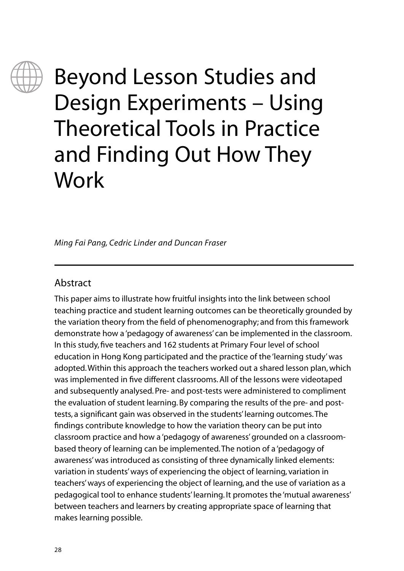

# Beyond Lesson Studies and Design Experiments – Using Theoretical Tools in Practice and Finding Out How They Work

*Ming Fai Pang, Cedric Linder and Duncan Fraser*

#### **Abstract**

This paper aims to illustrate how fruitful insights into the link between school teaching practice and student learning outcomes can be theoretically grounded by the variation theory from the field of phenomenography; and from this framework demonstrate how a 'pedagogy of awareness' can be implemented in the classroom. In this study, five teachers and 162 students at Primary Four level of school education in Hong Kong participated and the practice of the 'learning study' was adopted.Within this approach the teachers worked out a shared lesson plan, which was implemented in five different classrooms. All of the lessons were videotaped and subsequently analysed. Pre- and post-tests were administered to compliment the evaluation of student learning. By comparing the results of the pre- and posttests, a significant gain was observed in the students' learning outcomes.The findings contribute knowledge to how the variation theory can be put into classroom practice and how a 'pedagogy of awareness' grounded on a classroombased theory of learning can be implemented.The notion of a 'pedagogy of awareness' was introduced as consisting of three dynamically linked elements: variation in students' ways of experiencing the object of learning, variation in teachers' ways of experiencing the object of learning, and the use of variation as a pedagogical tool to enhance students' learning. It promotes the 'mutual awareness' between teachers and learners by creating appropriate space of learning that makes learning possible.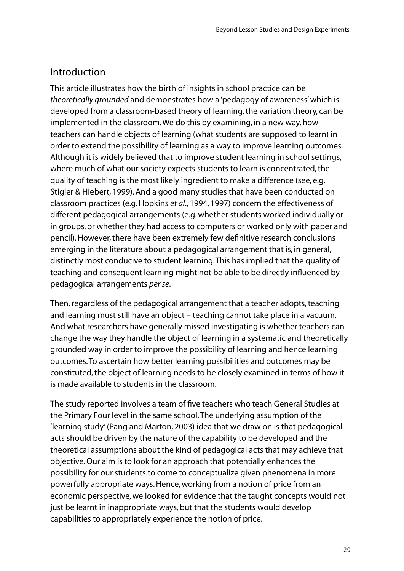# Introduction

This article illustrates how the birth of insights in school practice can be *theoretically grounded* and demonstrates how a 'pedagogy of awareness' which is developed from a classroom-based theory of learning, the variation theory, can be implemented in the classroom.We do this by examining, in a new way, how teachers can handle objects of learning (what students are supposed to learn) in order to extend the possibility of learning as a way to improve learning outcomes. Although it is widely believed that to improve student learning in school settings, where much of what our society expects students to learn is concentrated, the quality of teaching is the most likely ingredient to make a difference (see, e.g. Stigler & Hiebert, 1999). And a good many studies that have been conducted on classroom practices (e.g. Hopkins *et al*., 1994, 1997) concern the effectiveness of different pedagogical arrangements (e.g. whether students worked individually or in groups, or whether they had access to computers or worked only with paper and pencil). However, there have been extremely few definitive research conclusions emerging in the literature about a pedagogical arrangement that is, in general, distinctly most conducive to student learning.This has implied that the quality of teaching and consequent learning might not be able to be directly influenced by pedagogical arrangements *per se*.

Then,regardless of the pedagogical arrangement that a teacher adopts, teaching and learning must still have an object – teaching cannot take place in a vacuum. And what researchers have generally missed investigating is whether teachers can change the way they handle the object of learning in a systematic and theoretically grounded way in order to improve the possibility of learning and hence learning outcomes.To ascertain how better learning possibilities and outcomes may be constituted, the object of learning needs to be closely examined in terms of how it is made available to students in the classroom.

The study reported involves a team of five teachers who teach General Studies at the Primary Four level in the same school.The underlying assumption of the 'learning study' (Pang and Marton, 2003) idea that we draw on is that pedagogical acts should be driven by the nature of the capability to be developed and the theoretical assumptions about the kind of pedagogical acts that may achieve that objective. Our aim is to look for an approach that potentially enhances the possibility for our students to come to conceptualize given phenomena in more powerfully appropriate ways. Hence, working from a notion of price from an economic perspective, we looked for evidence that the taught concepts would not just be learnt in inappropriate ways, but that the students would develop capabilities to appropriately experience the notion of price.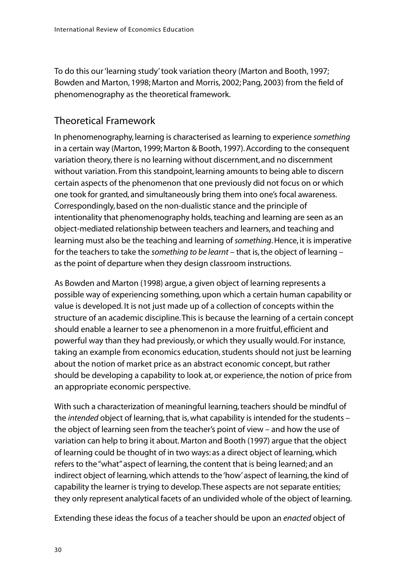To do this our 'learning study' took variation theory (Marton and Booth, 1997; Bowden and Marton, 1998; Marton and Morris, 2002; Pang, 2003) from the field of phenomenography as the theoretical framework.

# Theoretical Framework

In phenomenography, learning is characterised as learning to experience *something* in a certain way (Marton, 1999; Marton & Booth, 1997). According to the consequent variation theory, there is no learning without discernment, and no discernment without variation. From this standpoint, learning amounts to being able to discern certain aspects of the phenomenon that one previously did not focus on or which one took for granted, and simultaneously bring them into one's focal awareness. Correspondingly, based on the non-dualistic stance and the principle of intentionality that phenomenography holds, teaching and learning are seen as an object-mediated relationship between teachers and learners, and teaching and learning must also be the teaching and learning of *something*.Hence, it is imperative for the teachers to take the *something to be learnt* – that is, the object of learning – as the point of departure when they design classroom instructions.

As Bowden and Marton (1998) argue, a given object of learning represents a possible way of experiencing something, upon which a certain human capability or value is developed. It is not just made up of a collection of concepts within the structure of an academic discipline.This is because the learning of a certain concept should enable a learner to see a phenomenon in a more fruitful, efficient and powerful way than they had previously, or which they usually would. For instance, taking an example from economics education, students should not just be learning about the notion of market price as an abstract economic concept, but rather should be developing a capability to look at, or experience, the notion of price from an appropriate economic perspective.

With such a characterization of meaningful learning, teachers should be mindful of the *intended* object of learning, that is, what capability is intended for the students the object of learning seen from the teacher's point of view – and how the use of variation can help to bring it about. Marton and Booth (1997) argue that the object of learning could be thought of in two ways: as a direct object of learning, which refers to the "what" aspect of learning, the content that is being learned; and an indirect object of learning, which attends to the 'how' aspect of learning, the kind of capability the learner is trying to develop.These aspects are not separate entities; they only represent analytical facets of an undivided whole of the object of learning.

Extending these ideas the focus of a teacher should be upon an *enacted* object of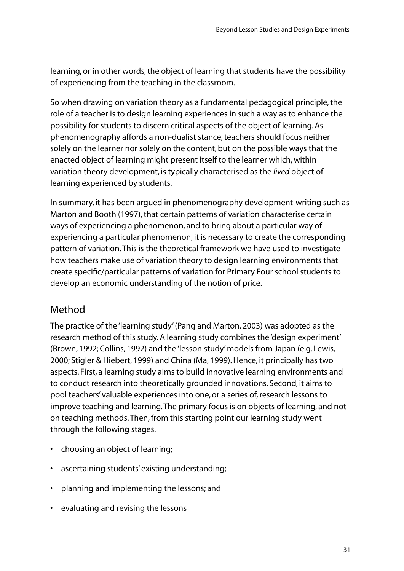learning, or in other words, the object of learning that students have the possibility of experiencing from the teaching in the classroom.

So when drawing on variation theory as a fundamental pedagogical principle, the role of a teacher is to design learning experiences in such a way as to enhance the possibility for students to discern critical aspects of the object of learning. As phenomenography affords a non-dualist stance, teachers should focus neither solely on the learner nor solely on the content, but on the possible ways that the enacted object of learning might present itself to the learner which, within variation theory development, is typically characterised as the *lived* object of learning experienced by students.

In summary, it has been argued in phenomenography development-writing such as Marton and Booth (1997), that certain patterns of variation characterise certain ways of experiencing a phenomenon, and to bring about a particular way of experiencing a particular phenomenon, it is necessary to create the corresponding pattern of variation.This is the theoretical framework we have used to investigate how teachers make use of variation theory to design learning environments that create specific/particular patterns of variation for Primary Four school students to develop an economic understanding of the notion of price.

# Method

The practice of the 'learning study' (Pang and Marton, 2003) was adopted as the research method of this study. A learning study combines the 'design experiment' (Brown, 1992; Collins, 1992) and the 'lesson study' models from Japan (e.g. Lewis, 2000; Stigler & Hiebert, 1999) and China (Ma, 1999). Hence, it principally has two aspects. First, a learning study aims to build innovative learning environments and to conduct research into theoretically grounded innovations. Second, it aims to pool teachers' valuable experiences into one, or a series of, research lessons to improve teaching and learning.The primary focus is on objects of learning, and not on teaching methods.Then, from this starting point our learning study went through the following stages.

- choosing an object of learning;
- ascertaining students' existing understanding;
- planning and implementing the lessons; and
- evaluating and revising the lessons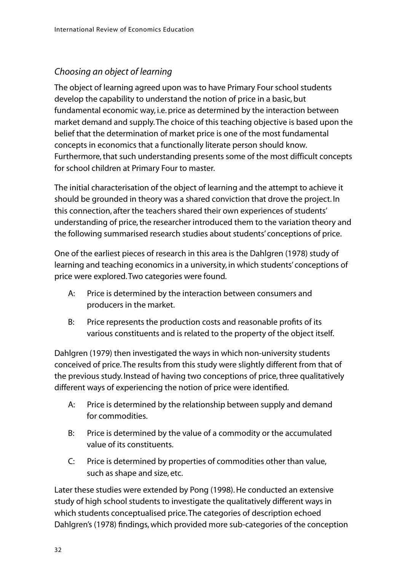## *Choosing an object of learning*

The object of learning agreed upon was to have Primary Four school students develop the capability to understand the notion of price in a basic, but fundamental economic way, i.e. price as determined by the interaction between market demand and supply.The choice of this teaching objective is based upon the belief that the determination of market price is one of the most fundamental concepts in economics that a functionally literate person should know. Furthermore, that such understanding presents some of the most difficult concepts for school children at Primary Four to master.

The initial characterisation of the object of learning and the attempt to achieve it should be grounded in theory was a shared conviction that drove the project. In this connection, after the teachers shared their own experiences of students' understanding of price, the researcher introduced them to the variation theory and the following summarised research studies about students' conceptions of price.

One of the earliest pieces of research in this area is the Dahlgren (1978) study of learning and teaching economics in a university, in which students' conceptions of price were explored.Two categories were found.

- A: Price is determined by the interaction between consumers and producers in the market.
- B: Price represents the production costs and reasonable profits of its various constituents and is related to the property of the object itself.

Dahlgren (1979) then investigated the ways in which non-university students conceived of price.The results from this study were slightly different from that of the previous study. Instead of having two conceptions of price, three qualitatively different ways of experiencing the notion of price were identified.

- A: Price is determined by the relationship between supply and demand for commodities.
- B: Price is determined by the value of a commodity or the accumulated value of its constituents.
- C: Price is determined by properties of commodities other than value, such as shape and size, etc.

Later these studies were extended by Pong (1998). He conducted an extensive study of high school students to investigate the qualitatively different ways in which students conceptualised price.The categories of description echoed Dahlgren's (1978) findings, which provided more sub-categories of the conception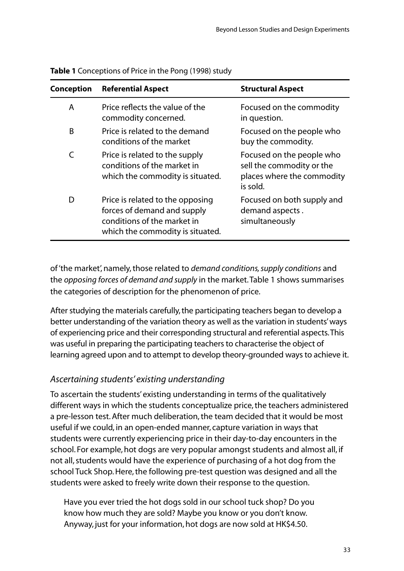| Conception | <b>Referential Aspect</b>                                                                                                          | <b>Structural Aspect</b>                                                                         |
|------------|------------------------------------------------------------------------------------------------------------------------------------|--------------------------------------------------------------------------------------------------|
| A          | Price reflects the value of the<br>commodity concerned.                                                                            | Focused on the commodity<br>in question.                                                         |
| B          | Price is related to the demand<br>conditions of the market                                                                         | Focused on the people who<br>buy the commodity.                                                  |
| C          | Price is related to the supply<br>conditions of the market in<br>which the commodity is situated.                                  | Focused on the people who<br>sell the commodity or the<br>places where the commodity<br>is sold. |
| D          | Price is related to the opposing<br>forces of demand and supply<br>conditions of the market in<br>which the commodity is situated. | Focused on both supply and<br>demand aspects.<br>simultaneously                                  |

**Table 1** Conceptions of Price in the Pong (1998) study

of 'the market', namely, those related to *demand conditions, supply conditions* and the *opposing forces of demand and supply* in the market.Table 1 shows summarises the categories of description for the phenomenon of price.

After studying the materials carefully, the participating teachers began to develop a better understanding of the variation theory as well as the variation in students'ways of experiencing price and their corresponding structural and referential aspects.This was useful in preparing the participating teachers to characterise the object of learning agreed upon and to attempt to develop theory-grounded ways to achieve it.

## *Ascertaining students' existing understanding*

To ascertain the students' existing understanding in terms of the qualitatively different ways in which the students conceptualize price, the teachers administered a pre-lesson test. After much deliberation, the team decided that it would be most useful if we could, in an open-ended manner, capture variation in ways that students were currently experiencing price in their day-to-day encounters in the school. For example, hot dogs are very popular amongst students and almost all, if not all, students would have the experience of purchasing of a hot dog from the school Tuck Shop. Here, the following pre-test question was designed and all the students were asked to freely write down their response to the question.

Have you ever tried the hot dogs sold in our school tuck shop? Do you know how much they are sold? Maybe you know or you don't know. Anyway, just for your information, hot dogs are now sold at HK\$4.50.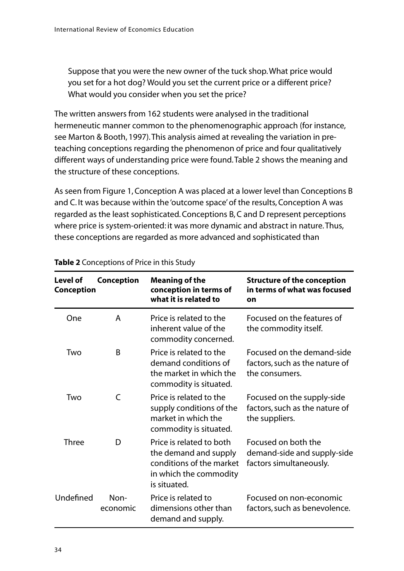Suppose that you were the new owner of the tuck shop.What price would you set for a hot dog? Would you set the current price or a different price? What would you consider when you set the price?

The written answers from 162 students were analysed in the traditional hermeneutic manner common to the phenomenographic approach (for instance, see Marton & Booth, 1997).This analysis aimed at revealing the variation in preteaching conceptions regarding the phenomenon of price and four qualitatively different ways of understanding price were found.Table 2 shows the meaning and the structure of these conceptions.

As seen from Figure 1, Conception A was placed at a lower level than Conceptions B and C. It was because within the 'outcome space' of the results, Conception A was regarded as the least sophisticated. Conceptions B, C and D represent perceptions where price is system-oriented: it was more dynamic and abstract in nature.Thus, these conceptions are regarded as more advanced and sophisticated than

| Level of<br>Conception | Conception       | <b>Meaning of the</b><br>conception in terms of<br>what it is related to                                                | <b>Structure of the conception</b><br>in terms of what was focused<br>on       |
|------------------------|------------------|-------------------------------------------------------------------------------------------------------------------------|--------------------------------------------------------------------------------|
| One                    | А                | Price is related to the<br>inherent value of the<br>commodity concerned.                                                | Focused on the features of<br>the commodity itself.                            |
| Two                    | <sub>R</sub>     | Price is related to the<br>demand conditions of<br>the market in which the<br>commodity is situated.                    | Focused on the demand-side<br>factors, such as the nature of<br>the consumers. |
| Two                    | C                | Price is related to the<br>supply conditions of the<br>market in which the<br>commodity is situated.                    | Focused on the supply-side<br>factors, such as the nature of<br>the suppliers. |
| Three                  | D                | Price is related to both<br>the demand and supply<br>conditions of the market<br>in which the commodity<br>is situated. | Focused on both the<br>demand-side and supply-side<br>factors simultaneously.  |
| Undefined              | Non-<br>economic | Price is related to<br>dimensions other than<br>demand and supply.                                                      | Focused on non-economic<br>factors, such as benevolence.                       |

#### **Table 2** Conceptions of Price in this Study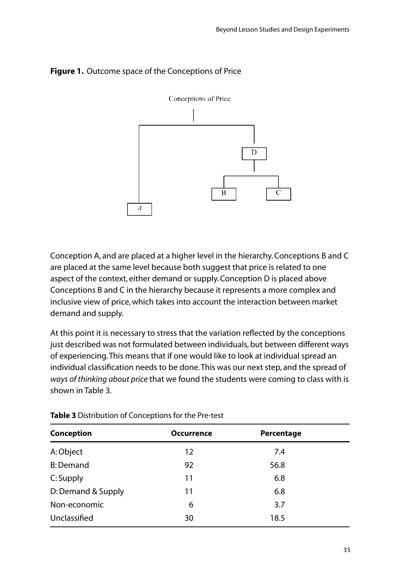

#### **Figure 1.** Outcome space of the Conceptions of Price

Conception A, and are placed at a higher level in the hierarchy. Conceptions B and C are placed at the same level because both suggest that price is related to one aspect of the context, either demand or supply. Conception D is placed above Conceptions B and C in the hierarchy because it represents a more complex and inclusive view of price, which takes into account the interaction between market demand and supply.

At this point it is necessary to stress that the variation reflected by the conceptions just described was not formulated between individuals, but between different ways of experiencing.This means that if one would like to look at individual spread an individual classification needs to be done.This was our next step, and the spread of *ways of thinking about price* that we found the students were coming to class with is shown in Table 3.

| Conception         | <b>Occurrence</b> | Percentage |  |
|--------------------|-------------------|------------|--|
| A: Object          | 12                | 7.4        |  |
| <b>B:</b> Demand   | 92                | 56.8       |  |
| C: Supply          | 11                | 6.8        |  |
| D: Demand & Supply | 11                | 6.8        |  |
| Non-economic       | 6                 | 3.7        |  |
| Unclassified       | 30                | 18.5       |  |
|                    |                   |            |  |

**Table 3** Distribution of Conceptions for the Pre-test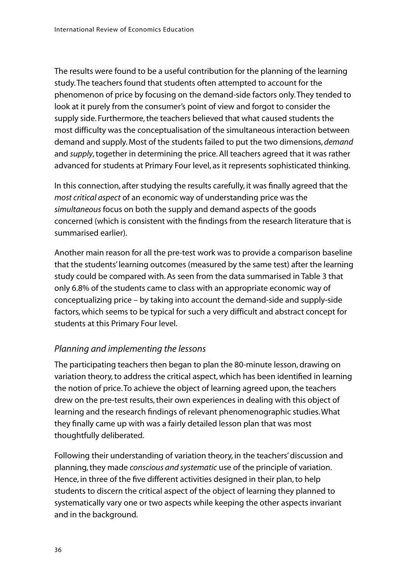The results were found to be a useful contribution for the planning of the learning study.The teachers found that students often attempted to account for the phenomenon of price by focusing on the demand-side factors only.They tended to look at it purely from the consumer's point of view and forgot to consider the supply side. Furthermore, the teachers believed that what caused students the most difficulty was the conceptualisation of the simultaneous interaction between demand and supply. Most of the students failed to put the two dimensions, *demand* and *supply*, together in determining the price. All teachers agreed that it was rather advanced for students at Primary Four level, as it represents sophisticated thinking.

In this connection, after studying the results carefully, it was finally agreed that the *most critical aspect* of an economic way of understanding price was the *simultaneous* focus on both the supply and demand aspects of the goods concerned (which is consistent with the findings from the research literature that is summarised earlier).

Another main reason for all the pre-test work was to provide a comparison baseline that the students' learning outcomes (measured by the same test) after the learning study could be compared with. As seen from the data summarised in Table 3 that only 6.8% of the students came to class with an appropriate economic way of conceptualizing price – by taking into account the demand-side and supply-side factors, which seems to be typical for such a very difficult and abstract concept for students at this Primary Four level.

## *Planning and implementing the lessons*

The participating teachers then began to plan the 80-minute lesson, drawing on variation theory, to address the critical aspect, which has been identified in learning the notion of price.To achieve the object of learning agreed upon, the teachers drew on the pre-test results, their own experiences in dealing with this object of learning and the research findings of relevant phenomenographic studies.What they finally came up with was a fairly detailed lesson plan that was most thoughtfully deliberated.

Following their understanding of variation theory, in the teachers' discussion and planning,they made *conscious and systematic* use of the principle of variation. Hence, in three of the five different activities designed in their plan, to help students to discern the critical aspect of the object of learning they planned to systematically vary one or two aspects while keeping the other aspects invariant and in the background.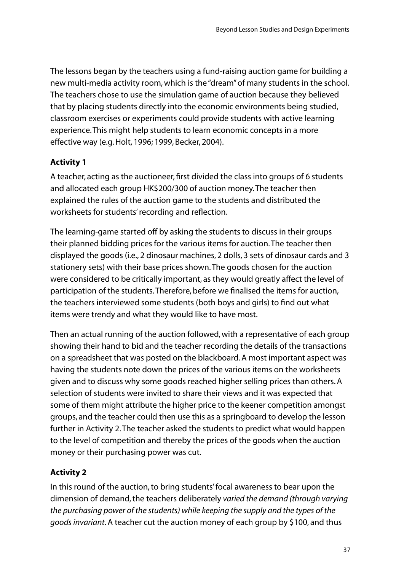The lessons began by the teachers using a fund-raising auction game for building a new multi-media activity room, which is the "dream" of many students in the school. The teachers chose to use the simulation game of auction because they believed that by placing students directly into the economic environments being studied, classroom exercises or experiments could provide students with active learning experience.This might help students to learn economic concepts in a more effective way (e.g. Holt, 1996; 1999, Becker, 2004).

#### **Activity 1**

A teacher, acting as the auctioneer, first divided the class into groups of 6 students and allocated each group HK\$200/300 of auction money.The teacher then explained the rules of the auction game to the students and distributed the worksheets for students' recording and reflection.

The learning-game started off by asking the students to discuss in their groups their planned bidding prices for the various items for auction.The teacher then displayed the goods (i.e., 2 dinosaur machines, 2 dolls, 3 sets of dinosaur cards and 3 stationery sets) with their base prices shown.The goods chosen for the auction were considered to be critically important, as they would greatly affect the level of participation of the students.Therefore, before we finalised the items for auction, the teachers interviewed some students (both boys and girls) to find out what items were trendy and what they would like to have most.

Then an actual running of the auction followed, with a representative of each group showing their hand to bid and the teacher recording the details of the transactions on a spreadsheet that was posted on the blackboard. A most important aspect was having the students note down the prices of the various items on the worksheets given and to discuss why some goods reached higher selling prices than others. A selection of students were invited to share their views and it was expected that some of them might attribute the higher price to the keener competition amongst groups, and the teacher could then use this as a springboard to develop the lesson further in Activity 2.The teacher asked the students to predict what would happen to the level of competition and thereby the prices of the goods when the auction money or their purchasing power was cut.

## **Activity 2**

In this round of the auction, to bring students' focal awareness to bear upon the dimension of demand, the teachers deliberately *varied the demand (through varying the purchasing power of the students) while keeping the supply and the types of the goods invariant*. A teacher cut the auction money of each group by \$100, and thus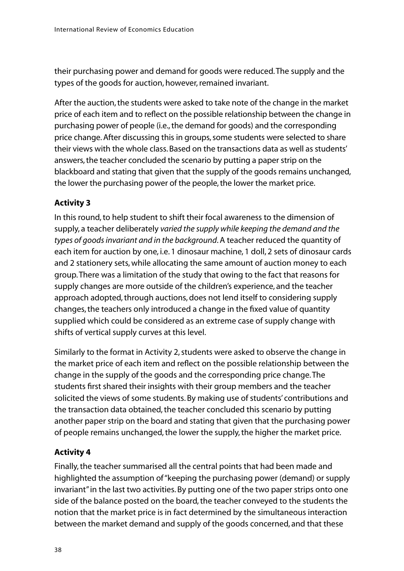their purchasing power and demand for goods were reduced.The supply and the types of the goods for auction, however, remained invariant.

After the auction, the students were asked to take note of the change in the market price of each item and to reflect on the possible relationship between the change in purchasing power of people (i.e., the demand for goods) and the corresponding price change. After discussing this in groups, some students were selected to share their views with the whole class. Based on the transactions data as well as students' answers, the teacher concluded the scenario by putting a paper strip on the blackboard and stating that given that the supply of the goods remains unchanged, the lower the purchasing power of the people, the lower the market price.

## **Activity 3**

In this round, to help student to shift their focal awareness to the dimension of supply, a teacher deliberately *varied the supply while keeping the demand and the types of goods invariant and in the background*.A teacher reduced the quantity of each item for auction by one, i.e. 1 dinosaur machine, 1 doll, 2 sets of dinosaur cards and 2 stationery sets, while allocating the same amount of auction money to each group.There was a limitation of the study that owing to the fact that reasons for supply changes are more outside of the children's experience, and the teacher approach adopted, through auctions, does not lend itself to considering supply changes, the teachers only introduced a change in the fixed value of quantity supplied which could be considered as an extreme case of supply change with shifts of vertical supply curves at this level.

Similarly to the format in Activity 2, students were asked to observe the change in the market price of each item and reflect on the possible relationship between the change in the supply of the goods and the corresponding price change.The students first shared their insights with their group members and the teacher solicited the views of some students. By making use of students' contributions and the transaction data obtained, the teacher concluded this scenario by putting another paper strip on the board and stating that given that the purchasing power of people remains unchanged,the lower the supply, the higher the market price.

## **Activity 4**

Finally, the teacher summarised all the central points that had been made and highlighted the assumption of "keeping the purchasing power (demand) or supply invariant" in the last two activities. By putting one of the two paper strips onto one side of the balance posted on the board, the teacher conveyed to the students the notion that the market price is in fact determined by the simultaneous interaction between the market demand and supply of the goods concerned, and that these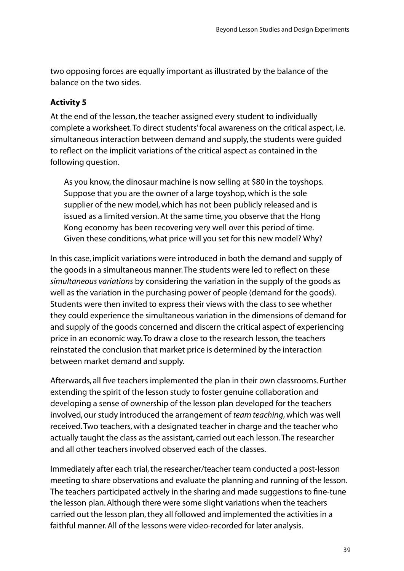two opposing forces are equally important as illustrated by the balance of the balance on the two sides.

#### **Activity 5**

At the end of the lesson, the teacher assigned every student to individually complete a worksheet.To direct students' focal awareness on the critical aspect, i.e. simultaneous interaction between demand and supply, the students were guided to reflect on the implicit variations of the critical aspect as contained in the following question.

As you know, the dinosaur machine is now selling at \$80 in the toyshops. Suppose that you are the owner of a large toyshop, which is the sole supplier of the new model, which has not been publicly released and is issued as a limited version. At the same time, you observe that the Hong Kong economy has been recovering very well over this period of time. Given these conditions, what price will you set for this new model? Why?

In this case, implicit variations were introduced in both the demand and supply of the goods in a simultaneous manner.The students were led to reflect on these *simultaneous variations* by considering the variation in the supply of the goods as well as the variation in the purchasing power of people (demand for the goods). Students were then invited to express their views with the class to see whether they could experience the simultaneous variation in the dimensions of demand for and supply of the goods concerned and discern the critical aspect of experiencing price in an economic way.To draw a close to the research lesson, the teachers reinstated the conclusion that market price is determined by the interaction between market demand and supply.

Afterwards, all five teachers implemented the plan in their own classrooms. Further extending the spirit of the lesson study to foster genuine collaboration and developing a sense of ownership of the lesson plan developed for the teachers involved, our study introduced the arrangement of *team teaching*, which was well received.Two teachers, with a designated teacher in charge and the teacher who actually taught the class as the assistant, carried out each lesson.The researcher and all other teachers involved observed each of the classes.

Immediately after each trial, the researcher/teacher team conducted a post-lesson meeting to share observations and evaluate the planning and running of the lesson. The teachers participated actively in the sharing and made suggestions to fine-tune the lesson plan. Although there were some slight variations when the teachers carried out the lesson plan, they all followed and implemented the activities in a faithful manner.All of the lessons were video-recorded for later analysis.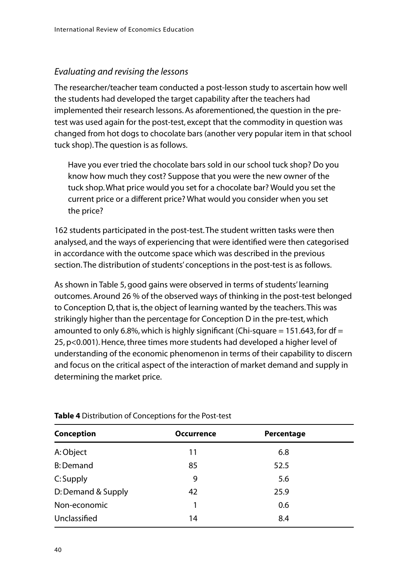#### *Evaluating and revising the lessons*

The researcher/teacher team conducted a post-lesson study to ascertain how well the students had developed the target capability after the teachers had implemented their research lessons. As aforementioned, the question in the pretest was used again for the post-test, except that the commodity in question was changed from hot dogs to chocolate bars (another very popular item in that school tuck shop).The question is as follows.

Have you ever tried the chocolate bars sold in our school tuck shop? Do you know how much they cost? Suppose that you were the new owner of the tuck shop.What price would you set for a chocolate bar? Would you set the current price or a different price? What would you consider when you set the price?

162 students participated in the post-test.The student written tasks were then analysed, and the ways of experiencing that were identified were then categorised in accordance with the outcome space which was described in the previous section.The distribution of students' conceptions in the post-test is as follows.

As shown in Table 5, good gains were observed in terms of students' learning outcomes. Around 26 % of the observed ways of thinking in the post-test belonged to Conception D, that is, the object of learning wanted by the teachers.This was strikingly higher than the percentage for Conception D in the pre-test, which amounted to only 6.8%, which is highly significant (Chi-square = 151.643, for df = 25, p<0.001). Hence, three times more students had developed a higher level of understanding of the economic phenomenon in terms of their capability to discern and focus on the critical aspect of the interaction of market demand and supply in determining the market price.

| Conception         | Occurrence | Percentage |
|--------------------|------------|------------|
| A: Object          | 11         | 6.8        |
| <b>B: Demand</b>   | 85         | 52.5       |
| C: Supply          | 9          | 5.6        |
| D: Demand & Supply | 42         | 25.9       |
| Non-economic       | 1          | 0.6        |
| Unclassified       | 14         | 8.4        |

**Table 4** Distribution of Conceptions for the Post-test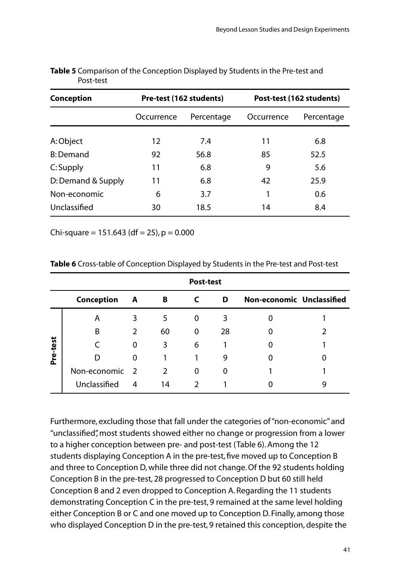| Conception         |            | Pre-test (162 students)<br>Post-test (162 students) |            |            |
|--------------------|------------|-----------------------------------------------------|------------|------------|
|                    | Occurrence | Percentage                                          | Occurrence | Percentage |
| A: Object          | 12         | 7.4                                                 | 11         | 6.8        |
| <b>B:</b> Demand   | 92         | 56.8                                                | 85         | 52.5       |
| C: Supply          | 11         | 6.8                                                 | 9          | 5.6        |
| D: Demand & Supply | 11         | 6.8                                                 | 42         | 25.9       |
| Non-economic       | 6          | 3.7                                                 | 1          | 0.6        |
| Unclassified       | 30         | 18.5                                                | 14         | 8.4        |

#### **Table 5** Comparison of the Conception Displayed by Students in the Pre-test and Post-test

Chi-square =  $151.643$  (df =  $25$ ), p =  $0.000$ 

|          | Post-test      |               |               |          |    |                           |  |
|----------|----------------|---------------|---------------|----------|----|---------------------------|--|
|          | Conception     | A             | в             |          | D  | Non-economic Unclassified |  |
| Pre-test | A              | 3             | 5             | 0        | 3  |                           |  |
|          | B              | $\mathcal{P}$ | 60            | $\Omega$ | 28 |                           |  |
|          |                | $\Omega$      | 3             | 6        |    |                           |  |
|          |                | 0             |               |          | 9  |                           |  |
|          | Non-economic 2 |               | $\mathcal{P}$ | 0        | O  |                           |  |
|          | Unclassified   | 4             | 14            |          |    |                           |  |

**Table 6** Cross-table of Conception Displayed by Students in the Pre-test and Post-test

Furthermore, excluding those that fall under the categories of "non-economic" and "unclassified", most students showed either no change or progression from a lower to a higher conception between pre- and post-test (Table 6). Among the 12 students displaying Conception A in the pre-test, five moved up to Conception B and three to Conception D, while three did not change. Of the 92 students holding Conception B in the pre-test, 28 progressed to Conception D but 60 still held Conception B and 2 even dropped to Conception A. Regarding the 11 students demonstrating Conception C in the pre-test, 9 remained at the same level holding either Conception B or C and one moved up to Conception D. Finally, among those who displayed Conception D in the pre-test, 9 retained this conception, despite the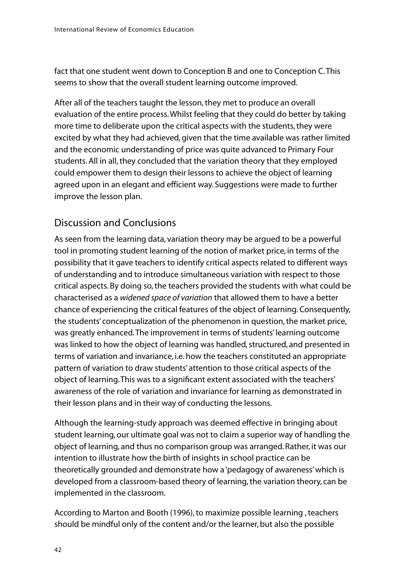fact that one student went down to Conception B and one to Conception C.This seems to show that the overall student learning outcome improved.

After all of the teachers taught the lesson, they met to produce an overall evaluation of the entire process.Whilst feeling that they could do better by taking more time to deliberate upon the critical aspects with the students, they were excited by what they had achieved, given that the time available was rather limited and the economic understanding of price was quite advanced to Primary Four students. All in all, they concluded that the variation theory that they employed could empower them to design their lessons to achieve the object of learning agreed upon in an elegant and efficient way. Suggestions were made to further improve the lesson plan.

# Discussion and Conclusions

As seen from the learning data, variation theory may be argued to be a powerful tool in promoting student learning of the notion of market price, in terms of the possibility that it gave teachers to identify critical aspects related to different ways of understanding and to introduce simultaneous variation with respect to those critical aspects. By doing so, the teachers provided the students with what could be characterised as a *widened space of variation* that allowed them to have a better chance of experiencing the critical features of the object of learning. Consequently, the students' conceptualization of the phenomenon in question, the market price, was greatly enhanced.The improvement in terms of students' learning outcome was linked to how the object of learning was handled, structured, and presented in terms of variation and invariance, i.e. how the teachers constituted an appropriate pattern of variation to draw students' attention to those critical aspects of the object of learning.This was to a significant extent associated with the teachers' awareness of the role of variation and invariance for learning as demonstrated in their lesson plans and in their way of conducting the lessons.

Although the learning-study approach was deemed effective in bringing about student learning, our ultimate goal was not to claim a superior way of handling the object of learning, and thus no comparison group was arranged. Rather, it was our intention to illustrate how the birth of insights in school practice can be theoretically grounded and demonstrate how a 'pedagogy of awareness' which is developed from a classroom-based theory of learning, the variation theory, can be implemented in the classroom.

According to Marton and Booth (1996), to maximize possible learning , teachers should be mindful only of the content and/or the learner, but also the possible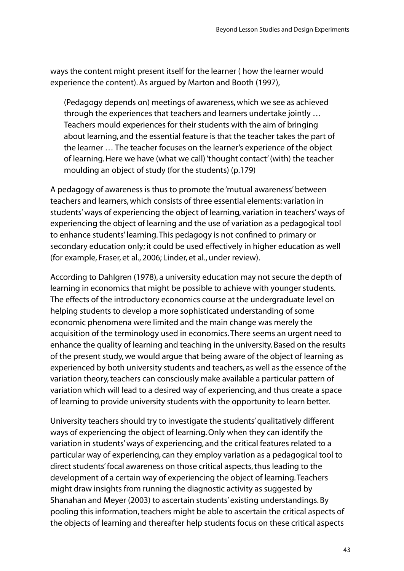ways the content might present itself for the learner ( how the learner would experience the content). As argued by Marton and Booth (1997),

(Pedagogy depends on) meetings of awareness, which we see as achieved through the experiences that teachers and learners undertake jointly … Teachers mould experiences for their students with the aim of bringing about learning, and the essential feature is that the teacher takes the part of the learner … The teacher focuses on the learner's experience of the object of learning. Here we have (what we call) 'thought contact' (with) the teacher moulding an object of study (for the students) (p.179)

A pedagogy of awareness is thus to promote the 'mutual awareness' between teachers and learners, which consists of three essential elements: variation in students' ways of experiencing the object of learning, variation in teachers' ways of experiencing the object of learning and the use of variation as a pedagogical tool to enhance students' learning.This pedagogy is not confined to primary or secondary education only; it could be used effectively in higher education as well (for example, Fraser, et al., 2006; Linder, et al., under review).

According to Dahlgren (1978), a university education may not secure the depth of learning in economics that might be possible to achieve with younger students. The effects of the introductory economics course at the undergraduate level on helping students to develop a more sophisticated understanding of some economic phenomena were limited and the main change was merely the acquisition of the terminology used in economics.There seems an urgent need to enhance the quality of learning and teaching in the university. Based on the results of the present study, we would argue that being aware of the object of learning as experienced by both university students and teachers, as well as the essence of the variation theory,teachers can consciously make available a particular pattern of variation which will lead to a desired way of experiencing, and thus create a space of learning to provide university students with the opportunity to learn better.

University teachers should try to investigate the students' qualitatively different ways of experiencing the object of learning. Only when they can identify the variation in students' ways of experiencing, and the critical features related to a particular way of experiencing, can they employ variation as a pedagogical tool to direct students' focal awareness on those critical aspects, thus leading to the development of a certain way of experiencing the object of learning.Teachers might draw insights from running the diagnostic activity as suggested by Shanahan and Meyer (2003) to ascertain students' existing understandings. By pooling this information, teachers might be able to ascertain the critical aspects of the objects of learning and thereafter help students focus on these critical aspects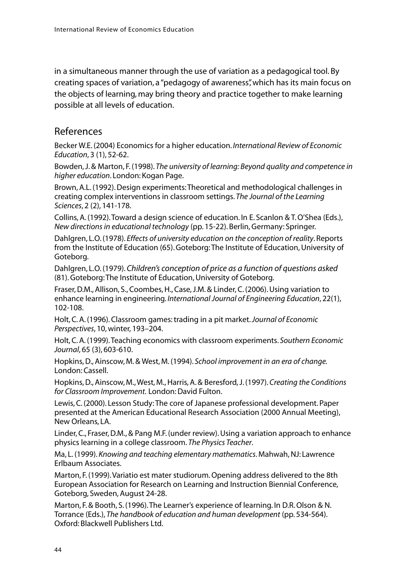in a simultaneous manner through the use of variation as a pedagogical tool. By creating spaces of variation, a "pedagogy of awareness", which has its main focus on the objects of learning, may bring theory and practice together to make learning possible at all levels of education.

## References

Becker W.E. (2004) Economics for a higher education. *International Review of Economic Education*, 3 (1), 52-62.

Bowden, J. & Marton, F. (1998). *The university of learning: Beyond quality and competence in higher education*. London: Kogan Page.

Brown, A.L. (1992). Design experiments:Theoretical and methodological challenges in creating complex interventions in classroom settings. *The Journal of the Learning Sciences*, 2 (2), 141-178.

Collins, A. (1992).Toward a design science of education. In E. Scanlon & T. O'Shea (Eds.), *New directions in educational technology* (pp. 15-22). Berlin, Germany: Springer.

Dahlgren, L.O. (1978). *Effects of university education on the conception of reality*. Reports from the Institute of Education (65). Goteborg:The Institute of Education, University of Goteborg.

Dahlgren, L.O. (1979).*Children's conception of price as a function of questions asked* (81). Goteborg:The Institute of Education, University of Goteborg.

Fraser, D.M., Allison, S., Coombes, H., Case, J.M. & Linder, C. (2006). Using variation to enhance learning in engineering. *International Journal of Engineering Education*, 22(1), 102-108.

Holt, C. A. (1996). Classroom games: trading in a pit market.*Journal of Economic Perspectives*, 10, winter, 193–204.

Holt, C. A. (1999).Teaching economics with classroom experiments. *Southern Economic Journal*, 65 (3), 603-610.

Hopkins, D., Ainscow, M. & West, M. (1994). *School improvement in an era of change.* London: Cassell.

Hopkins, D., Ainscow, M., West, M., Harris, A. & Beresford, J. (1997).*Creating the Conditions for Classroom Improvement.* London:David Fulton.

Lewis, C. (2000). Lesson Study:The core of Japanese professional development. Paper presented at the American Educational Research Association (2000 Annual Meeting), New Orleans, LA.

Linder, C., Fraser, D.M., & Pang M.F. (under review). Using a variation approach to enhance physics learning in a college classroom. *The Physics Teacher*.

Ma, L. (1999). *Knowing and teaching elementary mathematics*. Mahwah, NJ: Lawrence Erlbaum Associates.

Marton, F. (1999).Variatio est mater studiorum. Opening address delivered to the 8th European Association for Research on Learning and Instruction Biennial Conference, Goteborg, Sweden, August 24-28.

Marton, F.& Booth, S. (1996).The Learner's experience of learning. In D.R. Olson & N. Torrance (Eds.), *The handbook of education and human development* (pp. 534-564). Oxford: Blackwell Publishers Ltd.